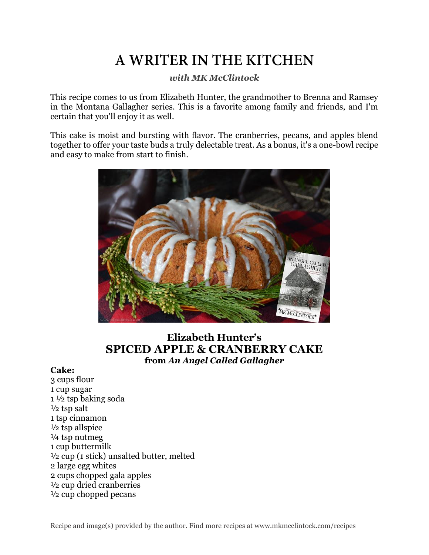# A WRITER IN THE KITCHEN

### *with MK McClintock*

This recipe comes to us from Elizabeth Hunter, the grandmother to Brenna and Ramsey in the Montana Gallagher series. This is a favorite among family and friends, and I'm certain that you'll enjoy it as well.

This cake is moist and bursting with flavor. The cranberries, pecans, and apples blend together to offer your taste buds a truly delectable treat. As a bonus, it's a one-bowl recipe and easy to make from start to finish.



# **Elizabeth Hunter's SPICED APPLE & CRANBERRY CAKE from** *An Angel Called Gallagher*

#### **Cake:**

3 cups flour 1 cup sugar 1 ½ tsp baking soda  $\frac{1}{2}$  tsp salt 1 tsp cinnamon ½ tsp allspice ¼ tsp nutmeg 1 cup buttermilk ½ cup (1 stick) unsalted butter, melted 2 large egg whites 2 cups chopped gala apples ½ cup dried cranberries ½ cup chopped pecans